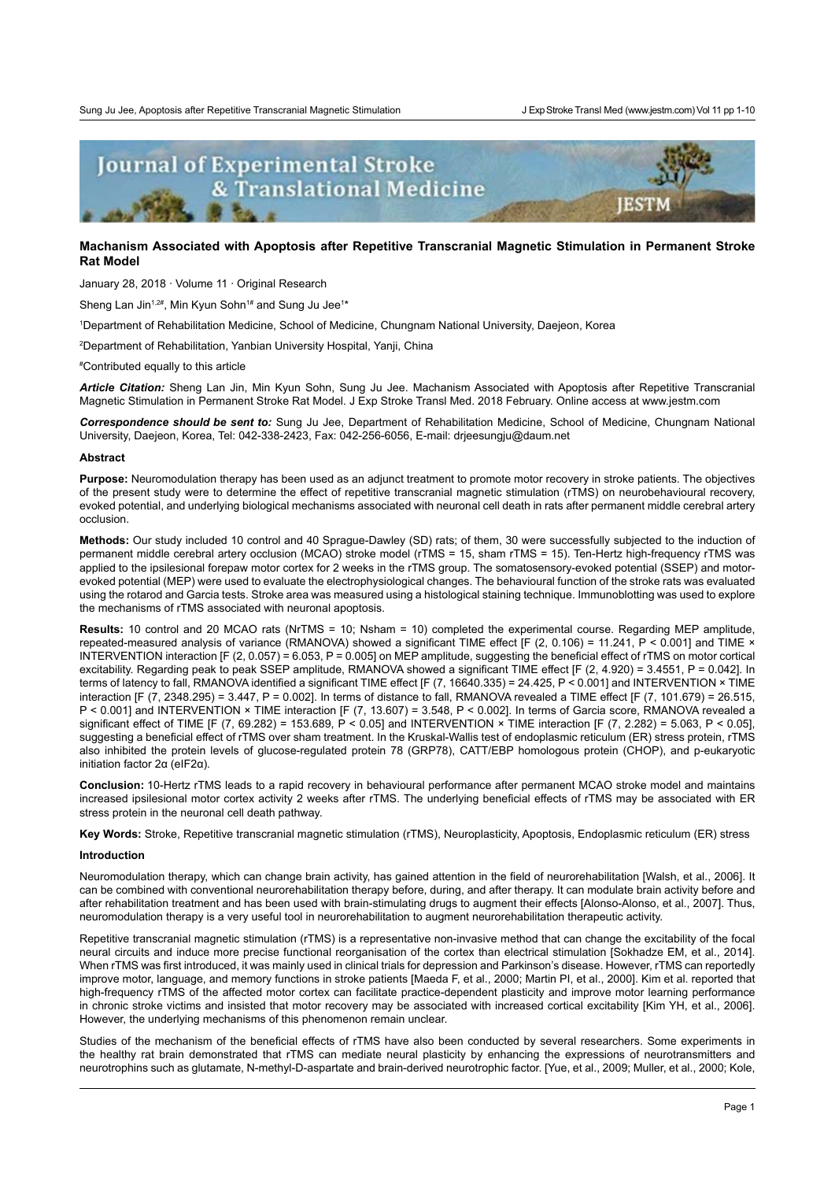

# **Machanism Associated with Apoptosis after Repetitive Transcranial Magnetic Stimulation in Permanent Stroke Rat Model**

January 28, 2018 · Volume 11 · Original Research

Sheng Lan Jin $^{1,2\#}$ , Min Kyun Sohn $^{1\#}$  and Sung Ju Jee $^{1\ast}$ 

1 Department of Rehabilitation Medicine, School of Medicine, Chungnam National University, Daejeon, Korea

2 Department of Rehabilitation, Yanbian University Hospital, Yanji, China

# Contributed equally to this article

*Article Citation:* Sheng Lan Jin, Min Kyun Sohn, Sung Ju Jee. Machanism Associated with Apoptosis after Repetitive Transcranial Magnetic Stimulation in Permanent Stroke Rat Model. J Exp Stroke Transl Med. 2018 February. Online access at [www.jestm.com](http://www.jestm.com/)

*Correspondence should be sent to:* Sung Ju Jee, Department of Rehabilitation Medicine, School of Medicine, Chungnam National University, Daejeon, Korea, Tel: 042-338-2423, Fax: 042-256-6056, E-mail: drjeesungju@daum.net

### **Abstract**

**Purpose:** Neuromodulation therapy has been used as an adjunct treatment to promote motor recovery in stroke patients. The objectives of the present study were to determine the effect of repetitive transcranial magnetic stimulation (rTMS) on neurobehavioural recovery, evoked potential, and underlying biological mechanisms associated with neuronal cell death in rats after permanent middle cerebral artery occlusion.

**Methods:** Our study included 10 control and 40 Sprague-Dawley (SD) rats; of them, 30 were successfully subjected to the induction of permanent middle cerebral artery occlusion (MCAO) stroke model (rTMS = 15, sham rTMS = 15). Ten-Hertz high-frequency rTMS was applied to the ipsilesional forepaw motor cortex for 2 weeks in the rTMS group. The somatosensory-evoked potential (SSEP) and motorevoked potential (MEP) were used to evaluate the electrophysiological changes. The behavioural function of the stroke rats was evaluated using the rotarod and Garcia tests. Stroke area was measured using a histological staining technique. Immunoblotting was used to explore the mechanisms of rTMS associated with neuronal apoptosis.

**Results:** 10 control and 20 MCAO rats (NrTMS = 10; Nsham = 10) completed the experimental course. Regarding MEP amplitude, repeated-measured analysis of variance (RMANOVA) showed a significant TIME effect [F (2, 0.106) = 11.241, P < 0.001] and TIME  $\times$ INTERVENTION interaction [F (2, 0.057) = 6.053, P = 0.005] on MEP amplitude, suggesting the beneficial effect of rTMS on motor cortical excitability. Regarding peak to peak SSEP amplitude, RMANOVA showed a significant TIME effect  $[Fe(2, 4.920) = 3.4551, P = 0.0421,$  In terms of latency to fall, RMANOVA identified a significant TIME effect [F (7, 16640.335) = 24.425, P < 0.001] and INTERVENTION × TIME interaction [F  $(7, 2348.295) = 3.447$ , P = 0.002]. In terms of distance to fall, RMANOVA revealed a TIME effect [F  $(7, 101.679) = 26.515$ , P < 0.001] and INTERVENTION × TIME interaction [F (7, 13.607) = 3.548, P < 0.002]. In terms of Garcia score, RMANOVA revealed a significant effect of TIME [F (7, 69.282) = 153.689, P < 0.05] and INTERVENTION × TIME interaction [F (7, 2.282) = 5.063, P < 0.05], suggesting a beneficial effect of rTMS over sham treatment. In the Kruskal-Wallis test of endoplasmic reticulum (ER) stress protein, rTMS also inhibited the protein levels of glucose-regulated protein 78 (GRP78), CATT/EBP homologous protein (CHOP), and p-eukaryotic initiation factor 2α (eIF2α).

**Conclusion:** 10-Hertz rTMS leads to a rapid recovery in behavioural performance after permanent MCAO stroke model and maintains increased ipsilesional motor cortex activity 2 weeks after rTMS. The underlying beneficial effects of rTMS may be associated with ER stress protein in the neuronal cell death pathway.

**Key Words:** Stroke, Repetitive transcranial magnetic stimulation (rTMS), Neuroplasticity, Apoptosis, Endoplasmic reticulum (ER) stress

# **Introduction**

Neuromodulation therapy, which can change brain activity, has gained attention in the field of neurorehabilitation [Walsh, et al., 2006]. It can be combined with conventional neurorehabilitation therapy before, during, and after therapy. It can modulate brain activity before and after rehabilitation treatment and has been used with brain-stimulating drugs to augment their effects [Alonso-Alonso, et al., 2007]. Thus, neuromodulation therapy is a very useful tool in neurorehabilitation to augment neurorehabilitation therapeutic activity.

Repetitive transcranial magnetic stimulation (rTMS) is a representative non-invasive method that can change the excitability of the focal neural circuits and induce more precise functional reorganisation of the cortex than electrical stimulation [Sokhadze EM, et al., 2014]. When rTMS was first introduced, it was mainly used in clinical trials for depression and Parkinson's disease. However, rTMS can reportedly improve motor, language, and memory functions in stroke patients [Maeda F, et al., 2000; Martin PI, et al., 2000]. Kim et al. reported that high-frequency rTMS of the affected motor cortex can facilitate practice-dependent plasticity and improve motor learning performance in chronic stroke victims and insisted that motor recovery may be associated with increased cortical excitability [Kim YH, et al., 2006]. However, the underlying mechanisms of this phenomenon remain unclear.

Studies of the mechanism of the beneficial effects of rTMS have also been conducted by several researchers. Some experiments in the healthy rat brain demonstrated that rTMS can mediate neural plasticity by enhancing the expressions of neurotransmitters and neurotrophins such as glutamate, N-methyl-D-aspartate and brain-derived neurotrophic factor. [Yue, et al., 2009; Muller, et al., 2000; Kole,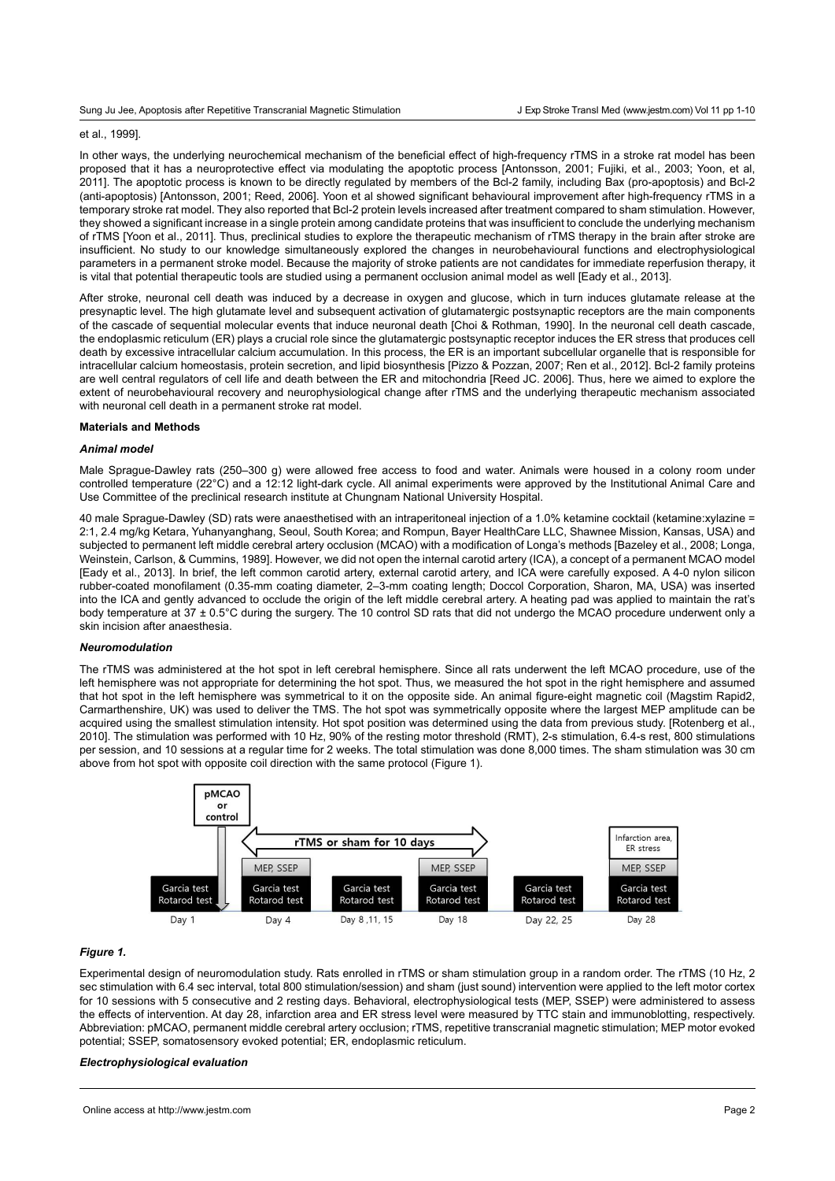# et al., 1999].

In other ways, the underlying neurochemical mechanism of the beneficial effect of high-frequency rTMS in a stroke rat model has been proposed that it has a neuroprotective effect via modulating the apoptotic process [Antonsson, 2001; Fujiki, et al., 2003; Yoon, et al, 2011]. The apoptotic process is known to be directly regulated by members of the Bcl-2 family, including Bax (pro-apoptosis) and Bcl-2 (anti-apoptosis) [Antonsson, 2001; Reed, 2006]. Yoon et al showed significant behavioural improvement after high-frequency rTMS in a temporary stroke rat model. They also reported that Bcl-2 protein levels increased after treatment compared to sham stimulation. However, they showed a significant increase in a single protein among candidate proteins that was insufficient to conclude the underlying mechanism of rTMS [Yoon et al., 2011]. Thus, preclinical studies to explore the therapeutic mechanism of rTMS therapy in the brain after stroke are insufficient. No study to our knowledge simultaneously explored the changes in neurobehavioural functions and electrophysiological parameters in a permanent stroke model. Because the majority of stroke patients are not candidates for immediate reperfusion therapy, it is vital that potential therapeutic tools are studied using a permanent occlusion animal model as well [Eady et al., 2013].

After stroke, neuronal cell death was induced by a decrease in oxygen and glucose, which in turn induces glutamate release at the presynaptic level. The high glutamate level and subsequent activation of glutamatergic postsynaptic receptors are the main components of the cascade of sequential molecular events that induce neuronal death [Choi & Rothman, 1990]. In the neuronal cell death cascade, the endoplasmic reticulum (ER) plays a crucial role since the glutamatergic postsynaptic receptor induces the ER stress that produces cell death by excessive intracellular calcium accumulation. In this process, the ER is an important subcellular organelle that is responsible for intracellular calcium homeostasis, protein secretion, and lipid biosynthesis [Pizzo & Pozzan, 2007; Ren et al., 2012]. Bcl-2 family proteins are well central regulators of cell life and death between the ER and mitochondria [Reed JC. 2006]. Thus, here we aimed to explore the extent of neurobehavioural recovery and neurophysiological change after rTMS and the underlying therapeutic mechanism associated with neuronal cell death in a permanent stroke rat model.

#### **Materials and Methods**

#### *Animal model*

Male Sprague-Dawley rats (250–300 g) were allowed free access to food and water. Animals were housed in a colony room under controlled temperature (22°C) and a 12:12 light-dark cycle. All animal experiments were approved by the Institutional Animal Care and Use Committee of the preclinical research institute at Chungnam National University Hospital.

40 male Sprague-Dawley (SD) rats were anaesthetised with an intraperitoneal injection of a 1.0% ketamine cocktail (ketamine:xylazine = 2:1, 2.4 mg/kg Ketara, Yuhanyanghang, Seoul, South Korea; and Rompun, Bayer HealthCare LLC, Shawnee Mission, Kansas, USA) and subjected to permanent left middle cerebral artery occlusion (MCAO) with a modification of Longa's methods [Bazeley et al., 2008; Longa, Weinstein, Carlson, & Cummins, 1989]. However, we did not open the internal carotid artery (ICA), a concept of a permanent MCAO model [Eady et al., 2013]. In brief, the left common carotid artery, external carotid artery, and ICA were carefully exposed. A 4-0 nylon silicon rubber-coated monofilament (0.35-mm coating diameter, 2–3-mm coating length; Doccol Corporation, Sharon, MA, USA) was inserted into the ICA and gently advanced to occlude the origin of the left middle cerebral artery. A heating pad was applied to maintain the rat's body temperature at 37 ± 0.5°C during the surgery. The 10 control SD rats that did not undergo the MCAO procedure underwent only a skin incision after anaesthesia.

#### *Neuromodulation*

The rTMS was administered at the hot spot in left cerebral hemisphere. Since all rats underwent the left MCAO procedure, use of the left hemisphere was not appropriate for determining the hot spot. Thus, we measured the hot spot in the right hemisphere and assumed that hot spot in the left hemisphere was symmetrical to it on the opposite side. An animal figure-eight magnetic coil (Magstim Rapid2, Carmarthenshire, UK) was used to deliver the TMS. The hot spot was symmetrically opposite where the largest MEP amplitude can be acquired using the smallest stimulation intensity. Hot spot position was determined using the data from previous study. [Rotenberg et al., 2010]. The stimulation was performed with 10 Hz, 90% of the resting motor threshold (RMT), 2-s stimulation, 6.4-s rest, 800 stimulations per session, and 10 sessions at a regular time for 2 weeks. The total stimulation was done 8,000 times. The sham stimulation was 30 cm above from hot spot with opposite coil direction with the same protocol (Figure 1).



## *Figure 1.*

Experimental design of neuromodulation study. Rats enrolled in rTMS or sham stimulation group in a random order. The rTMS (10 Hz, 2 sec stimulation with 6.4 sec interval, total 800 stimulation/session) and sham (just sound) intervention were applied to the left motor cortex for 10 sessions with 5 consecutive and 2 resting days. Behavioral, electrophysiological tests (MEP, SSEP) were administered to assess the effects of intervention. At day 28, infarction area and ER stress level were measured by TTC stain and immunoblotting, respectively. Abbreviation: pMCAO, permanent middle cerebral artery occlusion; rTMS, repetitive transcranial magnetic stimulation; MEP motor evoked potential; SSEP, somatosensory evoked potential; ER, endoplasmic reticulum.

## *Electrophysiological evaluation*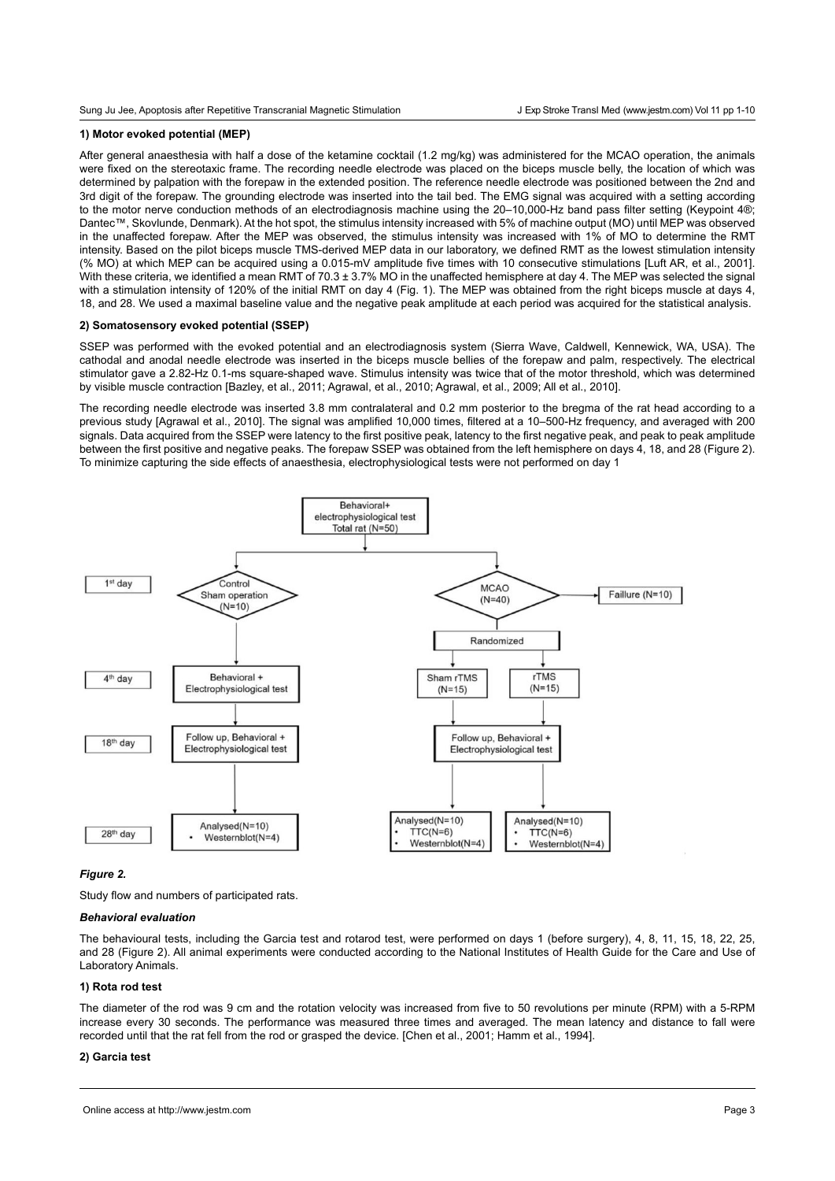# **1) Motor evoked potential (MEP)**

After general anaesthesia with half a dose of the ketamine cocktail (1.2 mg/kg) was administered for the MCAO operation, the animals were fixed on the stereotaxic frame. The recording needle electrode was placed on the biceps muscle belly, the location of which was determined by palpation with the forepaw in the extended position. The reference needle electrode was positioned between the 2nd and 3rd digit of the forepaw. The grounding electrode was inserted into the tail bed. The EMG signal was acquired with a setting according to the motor nerve conduction methods of an electrodiagnosis machine using the 20–10,000-Hz band pass filter setting (Keypoint 4®; Dantec™, Skovlunde, Denmark). At the hot spot, the stimulus intensity increased with 5% of machine output (MO) until MEP was observed in the unaffected forepaw. After the MEP was observed, the stimulus intensity was increased with 1% of MO to determine the RMT intensity. Based on the pilot biceps muscle TMS-derived MEP data in our laboratory, we defined RMT as the lowest stimulation intensity (% MO) at which MEP can be acquired using a 0.015-mV amplitude five times with 10 consecutive stimulations [Luft AR, et al., 2001]. With these criteria, we identified a mean RMT of 70.3  $\pm$  3.7% MO in the unaffected hemisphere at day 4. The MEP was selected the signal with a stimulation intensity of 120% of the initial RMT on day 4 (Fig. 1). The MEP was obtained from the right biceps muscle at days 4, 18, and 28. We used a maximal baseline value and the negative peak amplitude at each period was acquired for the statistical analysis.

# **2) Somatosensory evoked potential (SSEP)**

SSEP was performed with the evoked potential and an electrodiagnosis system (Sierra Wave, Caldwell, Kennewick, WA, USA). The cathodal and anodal needle electrode was inserted in the biceps muscle bellies of the forepaw and palm, respectively. The electrical stimulator gave a 2.82-Hz 0.1-ms square-shaped wave. Stimulus intensity was twice that of the motor threshold, which was determined by visible muscle contraction [Bazley, et al., 2011; Agrawal, et al., 2010; Agrawal, et al., 2009; All et al., 2010].

The recording needle electrode was inserted 3.8 mm contralateral and 0.2 mm posterior to the bregma of the rat head according to a previous study [Agrawal et al., 2010]. The signal was amplified 10,000 times, filtered at a 10–500-Hz frequency, and averaged with 200 signals. Data acquired from the SSEP were latency to the first positive peak, latency to the first negative peak, and peak to peak amplitude between the first positive and negative peaks. The forepaw SSEP was obtained from the left hemisphere on days 4, 18, and 28 (Figure 2). To minimize capturing the side effects of anaesthesia, electrophysiological tests were not performed on day 1



### *Figure 2.*

Study flow and numbers of participated rats.

#### *Behavioral evaluation*

The behavioural tests, including the Garcia test and rotarod test, were performed on days 1 (before surgery), 4, 8, 11, 15, 18, 22, 25, and 28 (Figure 2). All animal experiments were conducted according to the National Institutes of Health Guide for the Care and Use of Laboratory Animals.

### **1) Rota rod test**

The diameter of the rod was 9 cm and the rotation velocity was increased from five to 50 revolutions per minute (RPM) with a 5-RPM increase every 30 seconds. The performance was measured three times and averaged. The mean latency and distance to fall were recorded until that the rat fell from the rod or grasped the device. [Chen et al., 2001; Hamm et al., 1994].

## **2) Garcia test**

Online access at http://www.jestm.com Page 3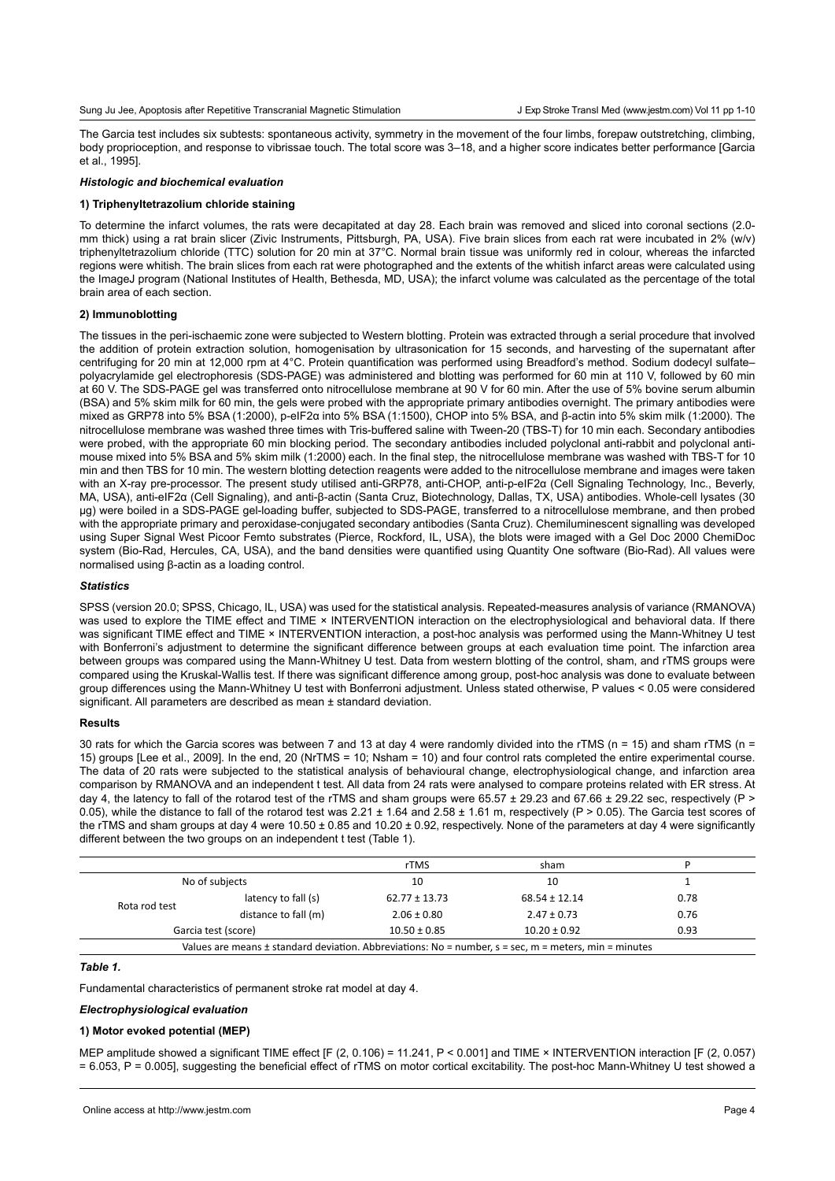Sung Ju Jee, Apoptosis after Repetitive Transcranial Magnetic Stimulation

The Garcia test includes six subtests: spontaneous activity, symmetry in the movement of the four limbs, forepaw outstretching, climbing, body proprioception, and response to vibrissae touch. The total score was 3–18, and a higher score indicates better performance [Garcia et al., 1995].

## *Histologic and biochemical evaluation*

#### **1) Triphenyltetrazolium chloride staining**

To determine the infarct volumes, the rats were decapitated at day 28. Each brain was removed and sliced into coronal sections (2.0 mm thick) using a rat brain slicer (Zivic Instruments, Pittsburgh, PA, USA). Five brain slices from each rat were incubated in 2% (w/v) triphenyltetrazolium chloride (TTC) solution for 20 min at 37°C. Normal brain tissue was uniformly red in colour, whereas the infarcted regions were whitish. The brain slices from each rat were photographed and the extents of the whitish infarct areas were calculated using the ImageJ program (National Institutes of Health, Bethesda, MD, USA); the infarct volume was calculated as the percentage of the total brain area of each section.

# **2) Immunoblotting**

The tissues in the peri-ischaemic zone were subjected to Western blotting. Protein was extracted through a serial procedure that involved the addition of protein extraction solution, homogenisation by ultrasonication for 15 seconds, and harvesting of the supernatant after centrifuging for 20 min at 12,000 rpm at 4°C. Protein quantification was performed using Breadford's method. Sodium dodecyl sulfate– polyacrylamide gel electrophoresis (SDS-PAGE) was administered and blotting was performed for 60 min at 110 V, followed by 60 min at 60 V. The SDS-PAGE gel was transferred onto nitrocellulose membrane at 90 V for 60 min. After the use of 5% bovine serum albumin (BSA) and 5% skim milk for 60 min, the gels were probed with the appropriate primary antibodies overnight. The primary antibodies were mixed as GRP78 into 5% BSA (1:2000), p-eIF2α into 5% BSA (1:1500), CHOP into 5% BSA, and β-actin into 5% skim milk (1:2000). The nitrocellulose membrane was washed three times with Tris-buffered saline with Tween-20 (TBS-T) for 10 min each. Secondary antibodies were probed, with the appropriate 60 min blocking period. The secondary antibodies included polyclonal anti-rabbit and polyclonal antimouse mixed into 5% BSA and 5% skim milk (1:2000) each. In the final step, the nitrocellulose membrane was washed with TBS-T for 10 min and then TBS for 10 min. The western blotting detection reagents were added to the nitrocellulose membrane and images were taken with an X-ray pre-processor. The present study utilised anti-GRP78, anti-CHOP, anti-p-eIF2α (Cell Signaling Technology, Inc., Beverly, MA, USA), anti-eIF2α (Cell Signaling), and anti-β-actin (Santa Cruz, Biotechnology, Dallas, TX, USA) antibodies. Whole-cell lysates (30 μg) were boiled in a SDS-PAGE gel-loading buffer, subjected to SDS-PAGE, transferred to a nitrocellulose membrane, and then probed with the appropriate primary and peroxidase-conjugated secondary antibodies (Santa Cruz). Chemiluminescent signalling was developed using Super Signal West Picoor Femto substrates (Pierce, Rockford, IL, USA), the blots were imaged with a Gel Doc 2000 ChemiDoc system (Bio-Rad, Hercules, CA, USA), and the band densities were quantified using Quantity One software (Bio-Rad). All values were normalised using β-actin as a loading control.

### *Statistics*

SPSS (version 20.0; SPSS, Chicago, IL, USA) was used for the statistical analysis. Repeated-measures analysis of variance (RMANOVA) was used to explore the TIME effect and TIME × INTERVENTION interaction on the electrophysiological and behavioral data. If there was significant TIME effect and TIME × INTERVENTION interaction, a post-hoc analysis was performed using the Mann-Whitney U test with Bonferroni's adjustment to determine the significant difference between groups at each evaluation time point. The infarction area between groups was compared using the Mann-Whitney U test. Data from western blotting of the control, sham, and rTMS groups were compared using the Kruskal-Wallis test. If there was significant difference among group, post-hoc analysis was done to evaluate between group differences using the Mann-Whitney U test with Bonferroni adjustment. Unless stated otherwise, P values < 0.05 were considered significant. All parameters are described as mean ± standard deviation.

## **Results**

30 rats for which the Garcia scores was between 7 and 13 at day 4 were randomly divided into the rTMS (n = 15) and sham rTMS (n = 15) groups [Lee et al., 2009]. In the end, 20 (NrTMS = 10; Nsham = 10) and four control rats completed the entire experimental course. The data of 20 rats were subjected to the statistical analysis of behavioural change, electrophysiological change, and infarction area comparison by RMANOVA and an independent t test. All data from 24 rats were analysed to compare proteins related with ER stress. At day 4, the latency to fall of the rotarod test of the rTMS and sham groups were 65.57 ± 29.23 and 67.66 ± 29.22 sec, respectively (P > 0.05), while the distance to fall of the rotarod test was  $2.21 \pm 1.64$  and  $2.58 \pm 1.61$  m, respectively (P > 0.05). The Garcia test scores of the rTMS and sham groups at day 4 were 10.50 ± 0.85 and 10.20 ± 0.92, respectively. None of the parameters at day 4 were significantly different between the two groups on an independent t test (Table 1).

|                     |                      | rTMS              | sham              |      |
|---------------------|----------------------|-------------------|-------------------|------|
| No of subjects      |                      | 10                | 10                |      |
| Rota rod test       | latency to fall (s)  | $62.77 \pm 13.73$ | $68.54 \pm 12.14$ | 0.78 |
|                     | distance to fall (m) | $2.06 \pm 0.80$   | $2.47 \pm 0.73$   | 0.76 |
| Garcia test (score) |                      | $10.50 \pm 0.85$  | $10.20 \pm 0.92$  | 0.93 |

#### *Table 1.*

Fundamental characteristics of permanent stroke rat model at day 4.

## *Electrophysiological evaluation*

## **1) Motor evoked potential (MEP)**

MEP amplitude showed a significant TIME effect [F (2, 0.106) = 11.241, P < 0.001] and TIME × INTERVENTION interaction [F (2, 0.057) = 6.053, P = 0.005], suggesting the beneficial effect of rTMS on motor cortical excitability. The post-hoc Mann-Whitney U test showed a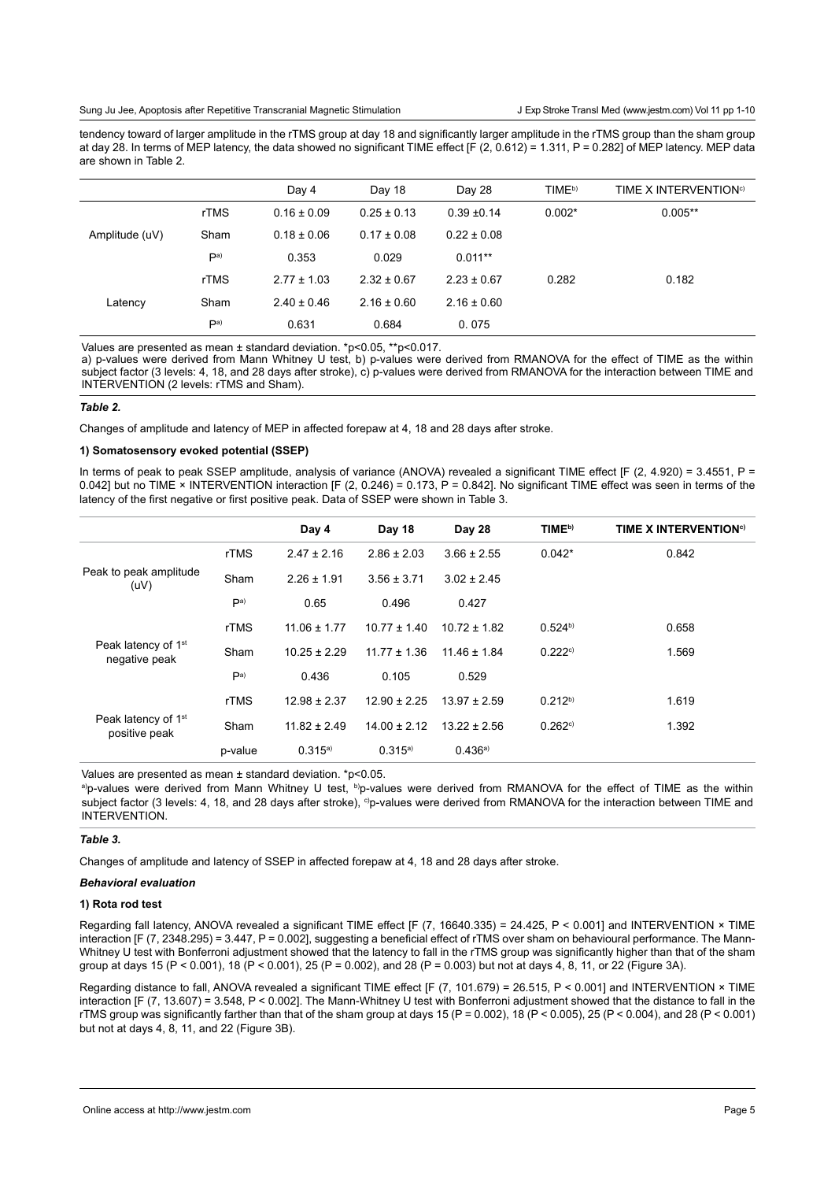#### Sung Ju Jee, Apoptosis after Repetitive Transcranial Magnetic Stimulation

tendency toward of larger amplitude in the rTMS group at day 18 and significantly larger amplitude in the rTMS group than the sham group at day 28. In terms of MEP latency, the data showed no significant TIME effect [F (2, 0.612) = 1.311, P = 0.282] of MEP latency. MEP data are shown in Table 2.

|                |                 | Day 4           | Day 18          | Day 28          | TIME <sup>b)</sup> | TIME X INTERVENTION <sup>c)</sup> |
|----------------|-----------------|-----------------|-----------------|-----------------|--------------------|-----------------------------------|
| Amplitude (uV) | rTMS            | $0.16 \pm 0.09$ | $0.25 \pm 0.13$ | $0.39 \pm 0.14$ | $0.002*$           | $0.005**$                         |
|                | Sham            | $0.18 \pm 0.06$ | $0.17 \pm 0.08$ | $0.22 \pm 0.08$ |                    |                                   |
|                | P <sub>a</sub>  | 0.353           | 0.029           | $0.011**$       |                    |                                   |
| Latency        | rTMS            | $2.77 \pm 1.03$ | $2.32 \pm 0.67$ | $2.23 \pm 0.67$ | 0.282              | 0.182                             |
|                | Sham            | $2.40 \pm 0.46$ | $2.16 \pm 0.60$ | $2.16 \pm 0.60$ |                    |                                   |
|                | $\mathsf{p}$ a) | 0.631           | 0.684           | 0.075           |                    |                                   |

Values are presented as mean ± standard deviation. \*p<0.05, \*\*p<0.017.

a) p-values were derived from Mann Whitney U test, b) p-values were derived from RMANOVA for the effect of TIME as the within subject factor (3 levels: 4, 18, and 28 days after stroke), c) p-values were derived from RMANOVA for the interaction between TIME and INTERVENTION (2 levels: rTMS and Sham).

## *Table 2.*

Changes of amplitude and latency of MEP in affected forepaw at 4, 18 and 28 days after stroke.

# **1) Somatosensory evoked potential (SSEP)**

In terms of peak to peak SSEP amplitude, analysis of variance (ANOVA) revealed a significant TIME effect IF (2, 4.920) = 3.4551, P = 0.042] but no TIME × INTERVENTION interaction [F (2, 0.246) = 0.173, P = 0.842]. No significant TIME effect was seen in terms of the latency of the first negative or first positive peak. Data of SSEP were shown in Table 3.

|                                                  |             | Day 4            | Day 18           | Day 28           | TIME <sup>b)</sup> | <b>TIME X INTERVENTION<sup>c)</sup></b> |
|--------------------------------------------------|-------------|------------------|------------------|------------------|--------------------|-----------------------------------------|
| Peak to peak amplitude<br>(UV)                   | <b>rTMS</b> | $2.47 \pm 2.16$  | $2.86 \pm 2.03$  | $3.66 \pm 2.55$  | $0.042*$           | 0.842                                   |
|                                                  | Sham        | $2.26 \pm 1.91$  | $3.56 \pm 3.71$  | $3.02 \pm 2.45$  |                    |                                         |
|                                                  | Pa)         | 0.65             | 0.496            | 0.427            |                    |                                         |
| Peak latency of 1 <sup>st</sup><br>negative peak | <b>rTMS</b> | $11.06 \pm 1.77$ | $10.77 \pm 1.40$ | $10.72 \pm 1.82$ | $0.524^{b}$        | 0.658                                   |
|                                                  | Sham        | $10.25 \pm 2.29$ | $11.77 \pm 1.36$ | $11.46 \pm 1.84$ | 0.222c             | 1.569                                   |
|                                                  | Pa)         | 0.436            | 0.105            | 0.529            |                    |                                         |
| Peak latency of 1 <sup>st</sup><br>positive peak | rTMS        | $12.98 \pm 2.37$ | $12.90 \pm 2.25$ | $13.97 \pm 2.59$ | $0.212^{b}$        | 1.619                                   |
|                                                  | Sham        | $11.82 \pm 2.49$ | $14.00 \pm 2.12$ | $13.22 \pm 2.56$ | 0.262c             | 1.392                                   |
|                                                  | p-value     | 0.315a)          | 0.315a)          | 0.436a           |                    |                                         |

Values are presented as mean ± standard deviation. \*p<0.05.

a)p-values were derived from Mann Whitney U test, b)p-values were derived from RMANOVA for the effect of TIME as the within subject factor (3 levels: 4, 18, and 28 days after stroke), <sup>c</sup>)p-values were derived from RMANOVA for the interaction between TIME and INTERVENTION.

# *Table 3.*

Changes of amplitude and latency of SSEP in affected forepaw at 4, 18 and 28 days after stroke.

# *Behavioral evaluation*

# **1) Rota rod test**

Regarding fall latency, ANOVA revealed a significant TIME effect [F (7, 16640.335) = 24.425, P < 0.001] and INTERVENTION × TIME interaction [F (7, 2348.295) = 3.447, P = 0.002], suggesting a beneficial effect of rTMS over sham on behavioural performance. The Mann-Whitney U test with Bonferroni adjustment showed that the latency to fall in the rTMS group was significantly higher than that of the sham group at days 15 (P < 0.001), 18 (P < 0.001), 25 (P = 0.002), and 28 (P = 0.003) but not at days 4, 8, 11, or 22 (Figure 3A).

Regarding distance to fall, ANOVA revealed a significant TIME effect [F (7, 101.679) = 26.515, P < 0.001] and INTERVENTION × TIME interaction [F (7, 13.607) = 3.548, P < 0.002]. The Mann-Whitney U test with Bonferroni adjustment showed that the distance to fall in the rTMS group was significantly farther than that of the sham group at days 15 (P = 0.002), 18 (P < 0.005), 25 (P < 0.004), and 28 (P < 0.001) but not at days 4, 8, 11, and 22 (Figure 3B).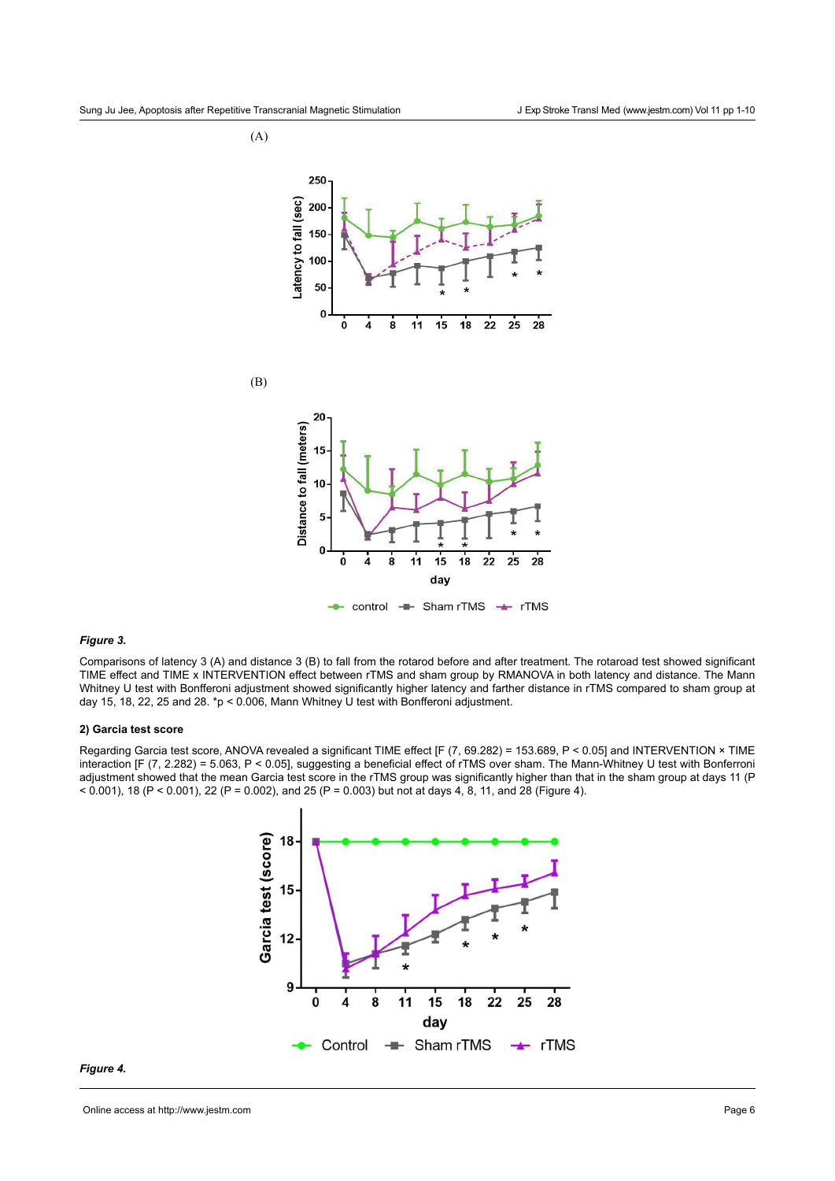



#### control — Sham rTMS — rTMS

# *Figure 3.*

Comparisons of latency 3 (A) and distance 3 (B) to fall from the rotarod before and after treatment. The rotaroad test showed significant TIME effect and TIME x INTERVENTION effect between rTMS and sham group by RMANOVA in both latency and distance. The Mann Whitney U test with Bonfferoni adjustment showed significantly higher latency and farther distance in rTMS compared to sham group at day 15, 18, 22, 25 and 28. \*p < 0.006, Mann Whitney U test with Bonfferoni adjustment.

# **2) Garcia test score**

Regarding Garcia test score, ANOVA revealed a significant TIME effect [F (7, 69.282) = 153.689, P < 0.05] and INTERVENTION × TIME interaction [F (7, 2.282) = 5.063, P < 0.05], suggesting a beneficial effect of rTMS over sham. The Mann-Whitney U test with Bonferroni adjustment showed that the mean Garcia test score in the rTMS group was significantly higher than that in the sham group at days 11 (P  $<$  0.001), 18 (P  $<$  0.001), 22 (P = 0.002), and 25 (P = 0.003) but not at days 4, 8, 11, and 28 (Figure 4).



# *Figure 4.*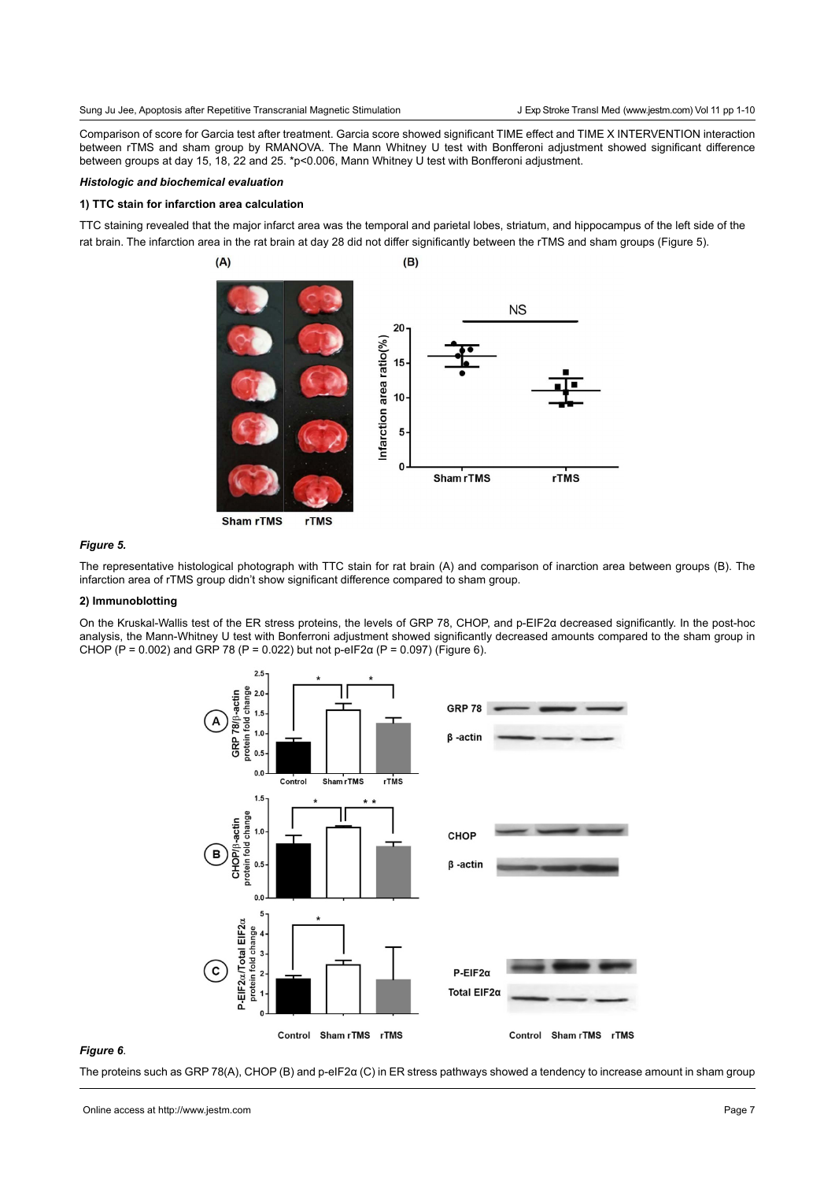Sung Ju Jee, Apoptosis after Repetitive Transcranial Magnetic Stimulation

J Exp Stroke Transl Med (www.jestm.com) Vol 11 pp 1-10

Comparison of score for Garcia test after treatment. Garcia score showed significant TIME effect and TIME X INTERVENTION interaction between rTMS and sham group by RMANOVA. The Mann Whitney U test with Bonfferoni adjustment showed significant difference between groups at day 15, 18, 22 and 25. \*p<0.006, Mann Whitney U test with Bonfferoni adjustment.

# *Histologic and biochemical evaluation*

## **1) TTC stain for infarction area calculation**

TTC staining revealed that the major infarct area was the temporal and parietal lobes, striatum, and hippocampus of the left side of the rat brain. The infarction area in the rat brain at day 28 did not differ significantly between the rTMS and sham groups (Figure 5).



**Sham rTMS** 

# *Figure 5.*

The representative histological photograph with TTC stain for rat brain (A) and comparison of inarction area between groups (B). The infarction area of rTMS group didn't show significant difference compared to sham group.

### **2) Immunoblotting**

On the Kruskal-Wallis test of the ER stress proteins, the levels of GRP 78, CHOP, and p-EIF2α decreased significantly. In the post-hoc analysis, the Mann-Whitney U test with Bonferroni adjustment showed significantly decreased amounts compared to the sham group in CHOP (P = 0.002) and GRP 78 (P = 0.022) but not p-eIF2α (P = 0.097) (Figure 6).



# *Figure 6*.

The proteins such as GRP 78(A), CHOP (B) and p-eIF2α (C) in ER stress pathways showed a tendency to increase amount in sham group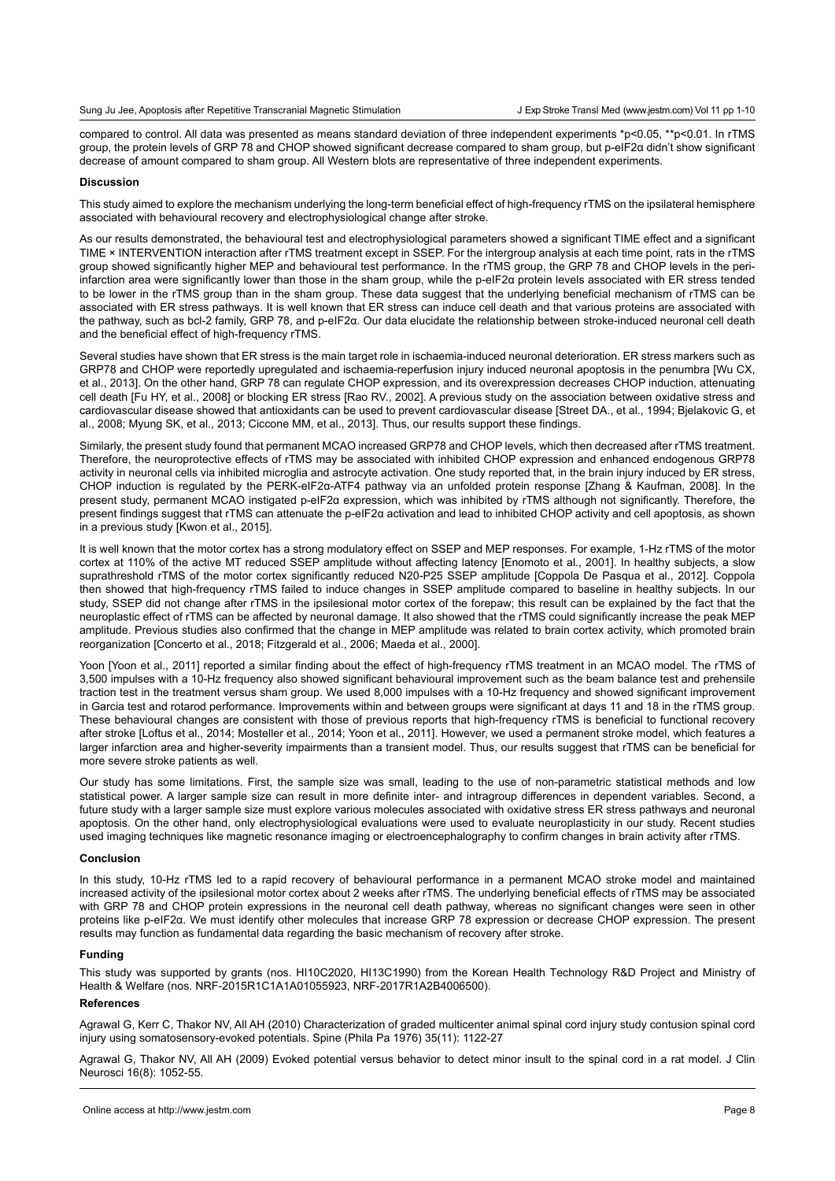compared to control. All data was presented as means standard deviation of three independent experiments \*p<0.05, \*\*p<0.01. In rTMS group, the protein levels of GRP 78 and CHOP showed significant decrease compared to sham group, but p-eIF2α didn't show significant decrease of amount compared to sham group. All Western blots are representative of three independent experiments.

### **Discussion**

This study aimed to explore the mechanism underlying the long-term beneficial effect of high-frequency rTMS on the ipsilateral hemisphere associated with behavioural recovery and electrophysiological change after stroke.

As our results demonstrated, the behavioural test and electrophysiological parameters showed a significant TIME effect and a significant TIME × INTERVENTION interaction after rTMS treatment except in SSEP. For the intergroup analysis at each time point, rats in the rTMS group showed significantly higher MEP and behavioural test performance. In the rTMS group, the GRP 78 and CHOP levels in the periinfarction area were significantly lower than those in the sham group, while the p-eIF2α protein levels associated with ER stress tended to be lower in the rTMS group than in the sham group. These data suggest that the underlying beneficial mechanism of rTMS can be associated with ER stress pathways. It is well known that ER stress can induce cell death and that various proteins are associated with the pathway, such as bcl-2 family, GRP 78, and p-eIF2α. Our data elucidate the relationship between stroke-induced neuronal cell death and the beneficial effect of high-frequency rTMS.

Several studies have shown that ER stress is the main target role in ischaemia-induced neuronal deterioration. ER stress markers such as GRP78 and CHOP were reportedly upregulated and ischaemia-reperfusion injury induced neuronal apoptosis in the penumbra [Wu CX, et al., 2013]. On the other hand, GRP 78 can regulate CHOP expression, and its overexpression decreases CHOP induction, attenuating cell death [Fu HY, et al., 2008] or blocking ER stress [Rao RV., 2002]. A previous study on the association between oxidative stress and cardiovascular disease showed that antioxidants can be used to prevent cardiovascular disease [Street DA., et al., 1994; Bjelakovic G, et al., 2008; Myung SK, et al., 2013; Ciccone MM, et al., 2013]. Thus, our results support these findings.

Similarly, the present study found that permanent MCAO increased GRP78 and CHOP levels, which then decreased after rTMS treatment. Therefore, the neuroprotective effects of rTMS may be associated with inhibited CHOP expression and enhanced endogenous GRP78 activity in neuronal cells via inhibited microglia and astrocyte activation. One study reported that, in the brain injury induced by ER stress, CHOP induction is regulated by the PERK-eIF2α-ATF4 pathway via an unfolded protein response [Zhang & Kaufman, 2008]. In the present study, permanent MCAO instigated p-eIF2α expression, which was inhibited by rTMS although not significantly. Therefore, the present findings suggest that rTMS can attenuate the p-eIF2α activation and lead to inhibited CHOP activity and cell apoptosis, as shown in a previous study [Kwon et al., 2015].

It is well known that the motor cortex has a strong modulatory effect on SSEP and MEP responses. For example, 1-Hz rTMS of the motor cortex at 110% of the active MT reduced SSEP amplitude without affecting latency [Enomoto et al., 2001]. In healthy subjects, a slow suprathreshold rTMS of the motor cortex significantly reduced N20-P25 SSEP amplitude [Coppola De Pasqua et al., 2012]. Coppola then showed that high-frequency rTMS failed to induce changes in SSEP amplitude compared to baseline in healthy subjects. In our study, SSEP did not change after rTMS in the ipsilesional motor cortex of the forepaw; this result can be explained by the fact that the neuroplastic effect of rTMS can be affected by neuronal damage. It also showed that the rTMS could significantly increase the peak MEP amplitude. Previous studies also confirmed that the change in MEP amplitude was related to brain cortex activity, which promoted brain reorganization [Concerto et al., 2018; Fitzgerald et al., 2006; Maeda et al., 2000].

Yoon [Yoon et al., 2011] reported a similar finding about the effect of high-frequency rTMS treatment in an MCAO model. The rTMS of 3,500 impulses with a 10-Hz frequency also showed significant behavioural improvement such as the beam balance test and prehensile traction test in the treatment versus sham group. We used 8,000 impulses with a 10-Hz frequency and showed significant improvement in Garcia test and rotarod performance. Improvements within and between groups were significant at days 11 and 18 in the rTMS group. These behavioural changes are consistent with those of previous reports that high-frequency rTMS is beneficial to functional recovery after stroke [Loftus et al., 2014; Mosteller et al., 2014; Yoon et al., 2011]. However, we used a permanent stroke model, which features a larger infarction area and higher-severity impairments than a transient model. Thus, our results suggest that rTMS can be beneficial for more severe stroke patients as well.

Our study has some limitations. First, the sample size was small, leading to the use of non-parametric statistical methods and low statistical power. A larger sample size can result in more definite inter- and intragroup differences in dependent variables. Second, a future study with a larger sample size must explore various molecules associated with oxidative stress ER stress pathways and neuronal apoptosis. On the other hand, only electrophysiological evaluations were used to evaluate neuroplasticity in our study. Recent studies used imaging techniques like magnetic resonance imaging or electroencephalography to confirm changes in brain activity after rTMS.

### **Conclusion**

In this study, 10-Hz rTMS led to a rapid recovery of behavioural performance in a permanent MCAO stroke model and maintained increased activity of the ipsilesional motor cortex about 2 weeks after rTMS. The underlying beneficial effects of rTMS may be associated with GRP 78 and CHOP protein expressions in the neuronal cell death pathway, whereas no significant changes were seen in other proteins like p-eIF2α. We must identify other molecules that increase GRP 78 expression or decrease CHOP expression. The present results may function as fundamental data regarding the basic mechanism of recovery after stroke.

#### **Funding**

This study was supported by grants (nos. HI10C2020, HI13C1990) from the Korean Health Technology R&D Project and Ministry of Health & Welfare (nos. NRF-2015R1C1A1A01055923, NRF-2017R1A2B4006500).

### **References**

Agrawal G, Kerr C, Thakor NV, All AH (2010) Characterization of graded multicenter animal spinal cord injury study contusion spinal cord injury using somatosensory-evoked potentials. Spine (Phila Pa 1976) 35(11): 1122-27

Agrawal G, Thakor NV, All AH (2009) Evoked potential versus behavior to detect minor insult to the spinal cord in a rat model. J Clin Neurosci 16(8): 1052-55.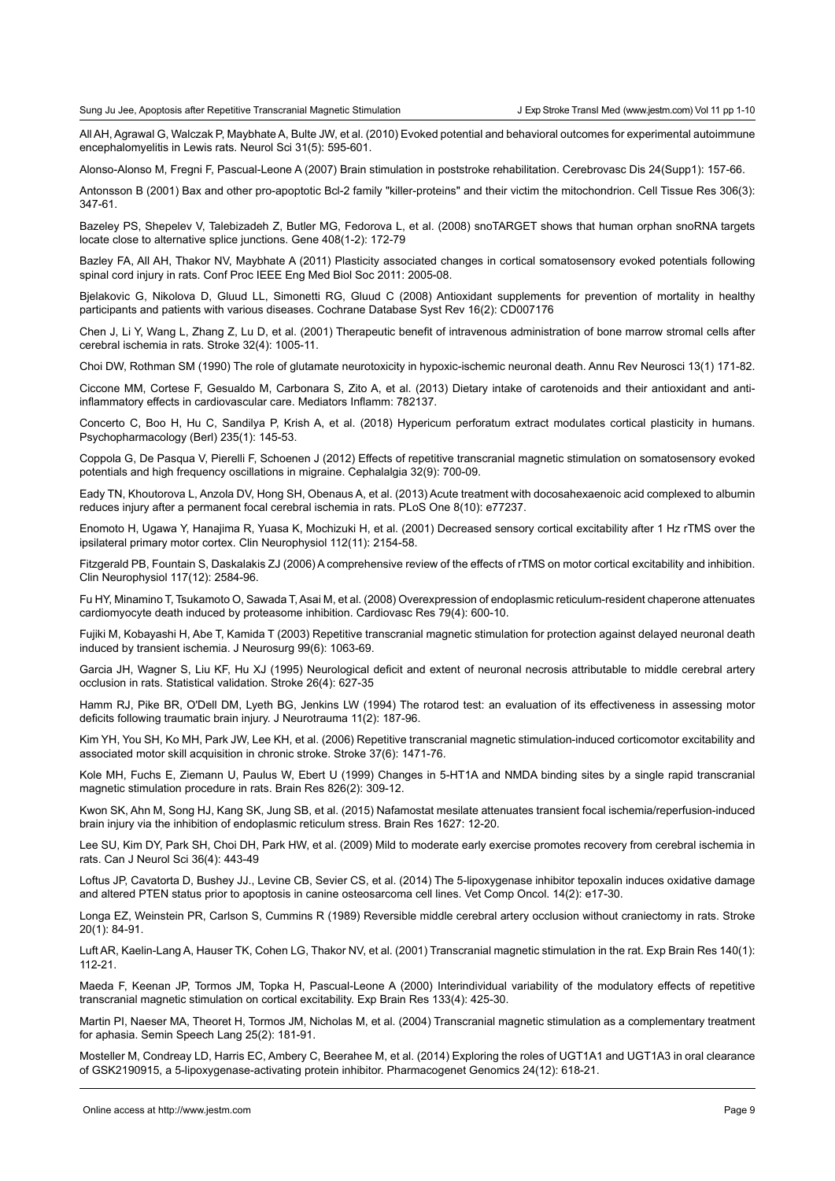All AH, Agrawal G, Walczak P, Maybhate A, Bulte JW, et al. (2010) Evoked potential and behavioral outcomes for experimental autoimmune encephalomyelitis in Lewis rats. Neurol Sci 31(5): 595-601.

Alonso-Alonso M, Fregni F, Pascual-Leone A (2007) Brain stimulation in poststroke rehabilitation. Cerebrovasc Dis 24(Supp1): 157-66.

Antonsson B (2001) Bax and other pro-apoptotic Bcl-2 family "killer-proteins" and their victim the mitochondrion. Cell Tissue Res 306(3): 347-61.

Bazeley PS, Shepelev V, Talebizadeh Z, Butler MG, Fedorova L, et al. (2008) snoTARGET shows that human orphan snoRNA targets locate close to alternative splice junctions. Gene 408(1-2): 172-79

Bazley FA, All AH, Thakor NV, Maybhate A (2011) Plasticity associated changes in cortical somatosensory evoked potentials following spinal cord injury in rats. Conf Proc IEEE Eng Med Biol Soc 2011: 2005-08.

Bjelakovic G, Nikolova D, Gluud LL, Simonetti RG, Gluud C (2008) Antioxidant supplements for prevention of mortality in healthy participants and patients with various diseases. Cochrane Database Syst Rev 16(2): CD007176

Chen J, Li Y, Wang L, Zhang Z, Lu D, et al. (2001) Therapeutic benefit of intravenous administration of bone marrow stromal cells after cerebral ischemia in rats. Stroke 32(4): 1005-11.

Choi DW, Rothman SM (1990) The role of glutamate neurotoxicity in hypoxic-ischemic neuronal death. Annu Rev Neurosci 13(1) 171-82.

Ciccone MM, Cortese F, Gesualdo M, Carbonara S, Zito A, et al. (2013) Dietary intake of carotenoids and their antioxidant and antiinflammatory effects in cardiovascular care. Mediators Inflamm: 782137.

Concerto C, Boo H, Hu C, Sandilya P, Krish A, et al. (2018) Hypericum perforatum extract modulates cortical plasticity in humans. Psychopharmacology (Berl) 235(1): 145-53.

Coppola G, De Pasqua V, Pierelli F, Schoenen J (2012) Effects of repetitive transcranial magnetic stimulation on somatosensory evoked potentials and high frequency oscillations in migraine. Cephalalgia 32(9): 700-09.

Eady TN, Khoutorova L, Anzola DV, Hong SH, Obenaus A, et al. (2013) Acute treatment with docosahexaenoic acid complexed to albumin reduces injury after a permanent focal cerebral ischemia in rats. PLoS One 8(10): e77237.

Enomoto H, Ugawa Y, Hanajima R, Yuasa K, Mochizuki H, et al. (2001) Decreased sensory cortical excitability after 1 Hz rTMS over the ipsilateral primary motor cortex. Clin Neurophysiol 112(11): 2154-58.

Fitzgerald PB, Fountain S, Daskalakis ZJ (2006) A comprehensive review of the effects of rTMS on motor cortical excitability and inhibition. Clin Neurophysiol 117(12): 2584-96.

Fu HY, Minamino T, Tsukamoto O, Sawada T, Asai M, et al. (2008) Overexpression of endoplasmic reticulum-resident chaperone attenuates cardiomyocyte death induced by proteasome inhibition. Cardiovasc Res 79(4): 600-10.

Fujiki M, Kobayashi H, Abe T, Kamida T (2003) Repetitive transcranial magnetic stimulation for protection against delayed neuronal death induced by transient ischemia. J Neurosurg 99(6): 1063-69.

Garcia JH, Wagner S, Liu KF, Hu XJ (1995) Neurological deficit and extent of neuronal necrosis attributable to middle cerebral artery occlusion in rats. Statistical validation. Stroke 26(4): 627-35

Hamm RJ, Pike BR, O'Dell DM, Lyeth BG, Jenkins LW (1994) The rotarod test: an evaluation of its effectiveness in assessing motor deficits following traumatic brain injury. J Neurotrauma 11(2): 187-96.

Kim YH, You SH, Ko MH, Park JW, Lee KH, et al. (2006) Repetitive transcranial magnetic stimulation-induced corticomotor excitability and associated motor skill acquisition in chronic stroke. Stroke 37(6): 1471-76.

Kole MH, Fuchs E, Ziemann U, Paulus W, Ebert U (1999) Changes in 5-HT1A and NMDA binding sites by a single rapid transcranial magnetic stimulation procedure in rats. Brain Res 826(2): 309-12.

Kwon SK, Ahn M, Song HJ, Kang SK, Jung SB, et al. (2015) Nafamostat mesilate attenuates transient focal ischemia/reperfusion-induced brain injury via the inhibition of endoplasmic reticulum stress. Brain Res 1627: 12-20.

Lee SU, Kim DY, Park SH, Choi DH, Park HW, et al. (2009) Mild to moderate early exercise promotes recovery from cerebral ischemia in rats. Can J Neurol Sci 36(4): 443-49

Loftus JP, Cavatorta D, Bushey JJ., Levine CB, Sevier CS, et al. (2014) The 5-lipoxygenase inhibitor tepoxalin induces oxidative damage and altered PTEN status prior to apoptosis in canine osteosarcoma cell lines. Vet Comp Oncol. 14(2): e17-30.

Longa EZ, Weinstein PR, Carlson S, Cummins R (1989) Reversible middle cerebral artery occlusion without craniectomy in rats. Stroke 20(1): 84-91.

Luft AR, Kaelin-Lang A, Hauser TK, Cohen LG, Thakor NV, et al. (2001) Transcranial magnetic stimulation in the rat. Exp Brain Res 140(1): 112-21.

Maeda F, Keenan JP, Tormos JM, Topka H, Pascual-Leone A (2000) Interindividual variability of the modulatory effects of repetitive transcranial magnetic stimulation on cortical excitability. Exp Brain Res 133(4): 425-30.

Martin PI, Naeser MA, Theoret H, Tormos JM, Nicholas M, et al. (2004) Transcranial magnetic stimulation as a complementary treatment for aphasia. Semin Speech Lang 25(2): 181-91.

Mosteller M, Condreay LD, Harris EC, Ambery C, Beerahee M, et al. (2014) Exploring the roles of UGT1A1 and UGT1A3 in oral clearance of GSK2190915, a 5-lipoxygenase-activating protein inhibitor. Pharmacogenet Genomics 24(12): 618-21.